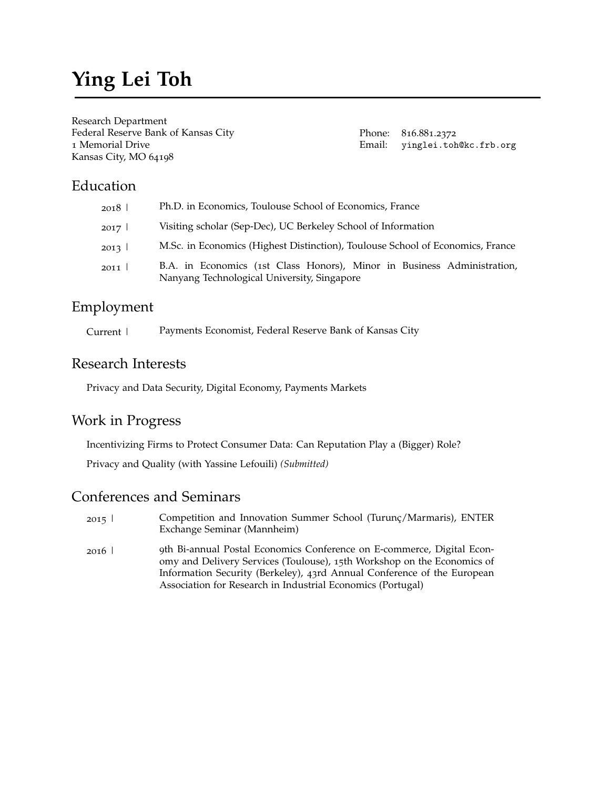# **Ying Lei Toh**

Research Department Federal Reserve Bank of Kansas City 1 Memorial Drive Kansas City, MO 64198

Phone: 816.881.2372 Email: [yinglei.toh@kc.frb.org](mailto:yinglei.toh@kc.frb.org)

# Education

| 2018   | Ph.D. in Economics, Toulouse School of Economics, France                                                               |
|--------|------------------------------------------------------------------------------------------------------------------------|
| 2017   | Visiting scholar (Sep-Dec), UC Berkeley School of Information                                                          |
| 2013 l | M.Sc. in Economics (Highest Distinction), Toulouse School of Economics, France                                         |
| 2011   | B.A. in Economics (1st Class Honors), Minor in Business Administration,<br>Nanyang Technological University, Singapore |

### Employment

Current | Payments Economist, Federal Reserve Bank of Kansas City

### Research Interests

Privacy and Data Security, Digital Economy, Payments Markets

## Work in Progress

Incentivizing Firms to Protect Consumer Data: Can Reputation Play a (Bigger) Role?

Privacy and Quality (with Yassine Lefouili) *(Submitted)*

#### Conferences and Seminars

- 2015 | 2016 | Competition and Innovation Summer School (Turunç/Marmaris), ENTER Exchange Seminar (Mannheim) 9th Bi-annual Postal Economics Conference on E-commerce, Digital Econ-
- omy and Delivery Services (Toulouse), 15th Workshop on the Economics of Information Security (Berkeley), 43rd Annual Conference of the European Association for Research in Industrial Economics (Portugal)